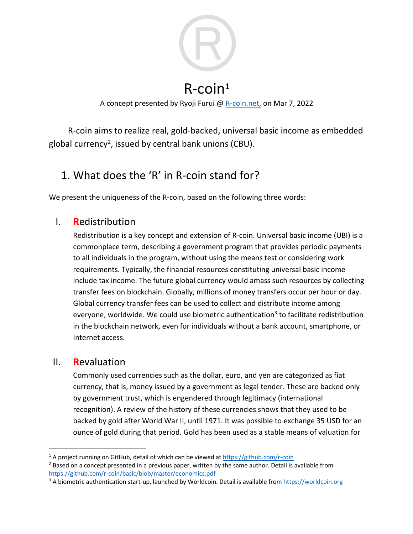

# $R$ -coin<sup>1</sup>

A concept presented by Ryoji Furui @ R-coin.net, on Mar 7, 2022

R-coin aims to realize real, gold-backed, universal basic income as embedded global currency<sup>2</sup>, issued by central bank unions (CBU).

## 1. What does the 'R' in R-coin stand for?

We present the uniqueness of the R-coin, based on the following three words:

## I. **R**edistribution

Redistribution is a key concept and extension of R-coin. Universal basic income (UBI) is a commonplace term, describing a government program that provides periodic payments to all individuals in the program, without using the means test or considering work requirements. Typically, the financial resources constituting universal basic income include tax income. The future global currency would amass such resources by collecting transfer fees on blockchain. Globally, millions of money transfers occur per hour or day. Global currency transfer fees can be used to collect and distribute income among everyone, worldwide. We could use biometric authentication<sup>3</sup> to facilitate redistribution in the blockchain network, even for individuals without a bank account, smartphone, or Internet access.

## II. **R**evaluation

Commonly used currencies such as the dollar, euro, and yen are categorized as fiat currency, that is, money issued by a government as legal tender. These are backed only by government trust, which is engendered through legitimacy (international recognition). A review of the history of these currencies shows that they used to be backed by gold after World War II, until 1971. It was possible to exchange 35 USD for an ounce of gold during that period. Gold has been used as a stable means of valuation for

 $1$  A project running on GitHub, detail of which can be viewed at https://github.com/r-coin

 $<sup>2</sup>$  Based on a concept presented in a previous paper, written by the same author. Detail is available from</sup> https://github.com/r-coin/basic/blob/master/economics.pdf

<sup>&</sup>lt;sup>3</sup> A biometric authentication start-up, launched by Worldcoin. Detail is available from https://worldcoin.org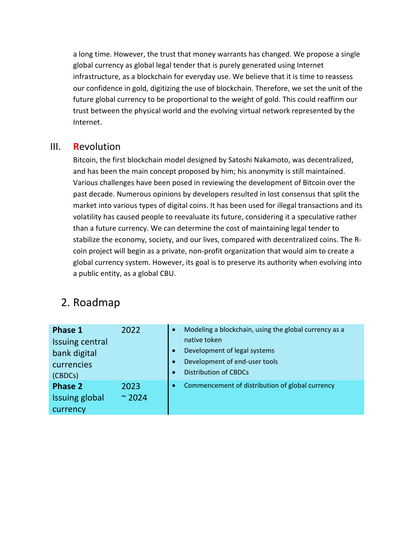a long time. However, the trust that money warrants has changed. We propose a single global currency as global legal tender that is purely generated using Internet infrastructure, as a blockchain for everyday use. We believe that it is time to reassess our confidence in gold, digitizing the use of blockchain. Therefore, we set the unit of the future global currency to be proportional to the weight of gold. This could reaffirm our trust between the physical world and the evolving virtual network represented by the Internet.

#### III. **R**evolution

Bitcoin, the first blockchain model designed by Satoshi Nakamoto, was decentralized, and has been the main concept proposed by him; his anonymity is still maintained. Various challenges have been posed in reviewing the development of Bitcoin over the past decade. Numerous opinions by developers resulted in lost consensus that split the market into various types of digital coins. It has been used for illegal transactions and its volatility has caused people to reevaluate its future, considering it a speculative rather than a future currency. We can determine the cost of maintaining legal tender to stabilize the economy, society, and our lives, compared with decentralized coins. The Rcoin project will begin as a private, non-profit organization that would aim to create a global currency system. However, its goal is to preserve its authority when evolving into a public entity, as a global CBU.

## 2. Roadmap

| Phase 1<br><b>Issuing central</b><br>bank digital<br>currencies<br>(CBDCs) | 2022                     | Modeling a blockchain, using the global currency as a<br>$\bullet$<br>native token<br>Development of legal systems<br>Development of end-user tools<br><b>Distribution of CBDCs</b> |
|----------------------------------------------------------------------------|--------------------------|-------------------------------------------------------------------------------------------------------------------------------------------------------------------------------------|
| <b>Phase 2</b><br><b>Issuing global</b><br>currency                        | 2023<br>$~^{\circ}$ 2024 | Commencement of distribution of global currency<br>$\bullet$                                                                                                                        |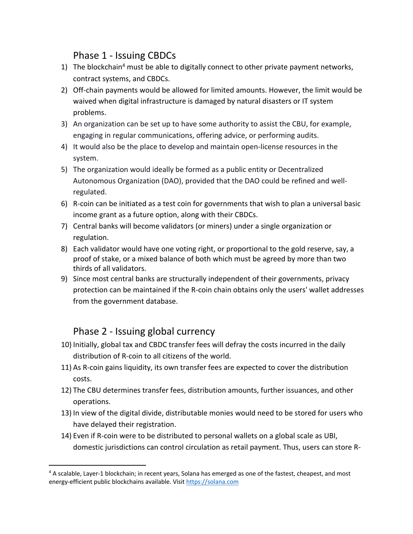### Phase 1 - Issuing CBDCs

- 1) The blockchain<sup>4</sup> must be able to digitally connect to other private payment networks, contract systems, and CBDCs.
- 2) Off-chain payments would be allowed for limited amounts. However, the limit would be waived when digital infrastructure is damaged by natural disasters or IT system problems.
- 3) An organization can be set up to have some authority to assist the CBU, for example, engaging in regular communications, offering advice, or performing audits.
- 4) It would also be the place to develop and maintain open-license resources in the system.
- 5) The organization would ideally be formed as a public entity or Decentralized Autonomous Organization (DAO), provided that the DAO could be refined and wellregulated.
- 6) R-coin can be initiated as a test coin for governments that wish to plan a universal basic income grant as a future option, along with their CBDCs.
- 7) Central banks will become validators (or miners) under a single organization or regulation.
- 8) Each validator would have one voting right, or proportional to the gold reserve, say, a proof of stake, or a mixed balance of both which must be agreed by more than two thirds of all validators.
- 9) Since most central banks are structurally independent of their governments, privacy protection can be maintained if the R-coin chain obtains only the users' wallet addresses from the government database.

## Phase 2 - Issuing global currency

- 10) Initially, global tax and CBDC transfer fees will defray the costs incurred in the daily distribution of R-coin to all citizens of the world.
- 11) As R-coin gains liquidity, its own transfer fees are expected to cover the distribution costs.
- 12) The CBU determines transfer fees, distribution amounts, further issuances, and other operations.
- 13) In view of the digital divide, distributable monies would need to be stored for users who have delayed their registration.
- 14) Even if R-coin were to be distributed to personal wallets on a global scale as UBI, domestic jurisdictions can control circulation as retail payment. Thus, users can store R-

 $4$  A scalable, Layer-1 blockchain; in recent years, Solana has emerged as one of the fastest, cheapest, and most energy-efficient public blockchains available. Visit https://solana.com